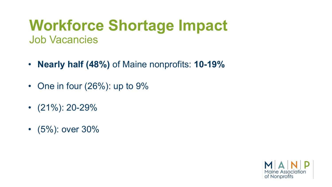## **Workforce Shortage Impact** Job Vacancies

- **Nearly half (48%)** of Maine nonprofits: **10-19%**
- One in four (26%): up to 9%
- $\cdot$  (21%): 20-29%
- (5%): over 30%

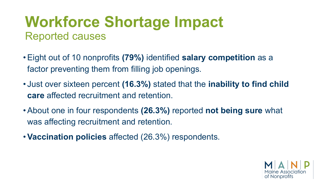## **Workforce Shortage Impact** Reported causes

- Eight out of 10 nonprofits **(79%)** identified **salary competition** as a factor preventing them from filling job openings.
- Just over sixteen percent **(16.3%)** stated that the **inability to find child care** affected recruitment and retention.
- About one in four respondents **(26.3%)** reported **not being sure** what was affecting recruitment and retention.
- **Vaccination policies** affected (26.3%) respondents.

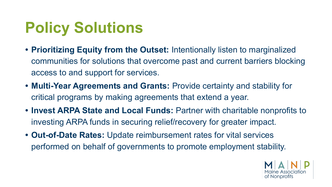## **Policy Solutions**

- **• Prioritizing Equity from the Outset:** Intentionally listen to marginalized communities for solutions that overcome past and current barriers blocking access to and support for services.
- **• Multi-Year Agreements and Grants:** Provide certainty and stability for critical programs by making agreements that extend a year.
- **• Invest ARPA State and Local Funds:** Partner with charitable nonprofits to investing ARPA funds in securing relief/recovery for greater impact.
- **• Out-of-Date Rates:** Update reimbursement rates for vital services performed on behalf of governments to promote employment stability.